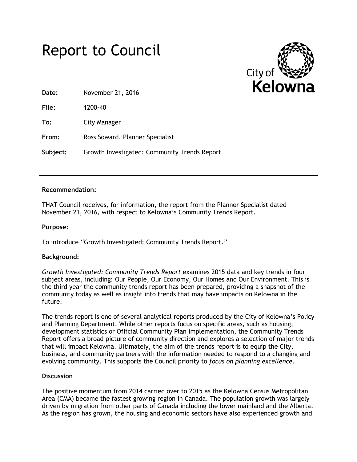



**Date:** November 21, 2016

**File:** 1200-40

**To:** City Manager

**From:** Ross Soward, Planner Specialist

**Subject:** Growth Investigated: Community Trends Report

## **Recommendation:**

THAT Council receives, for information, the report from the Planner Specialist dated November 21, 2016, with respect to Kelowna's Community Trends Report.

## **Purpose:**

To introduce "Growth Investigated: Community Trends Report."

# **Background:**

*Growth Investigated: Community Trends Report* examines 2015 data and key trends in four subject areas, including: Our People, Our Economy, Our Homes and Our Environment. This is the third year the community trends report has been prepared, providing a snapshot of the community today as well as insight into trends that may have impacts on Kelowna in the future.

The trends report is one of several analytical reports produced by the City of Kelowna's Policy and Planning Department. While other reports focus on specific areas, such as housing, development statistics or Official Community Plan implementation, the Community Trends Report offers a broad picture of community direction and explores a selection of major trends that will impact Kelowna. Ultimately, the aim of the trends report is to equip the City, business, and community partners with the information needed to respond to a changing and evolving community. This supports the Council priority to *focus on planning excellence*.

#### **Discussion**

The positive momentum from 2014 carried over to 2015 as the Kelowna Census Metropolitan Area (CMA) became the fastest growing region in Canada. The population growth was largely driven by migration from other parts of Canada including the lower mainland and the Alberta. As the region has grown, the housing and economic sectors have also experienced growth and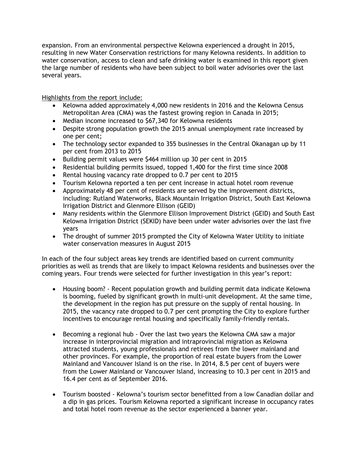expansion. From an environmental perspective Kelowna experienced a drought in 2015, resulting in new Water Conservation restrictions for many Kelowna residents. In addition to water conservation, access to clean and safe drinking water is examined in this report given the large number of residents who have been subject to boil water advisories over the last several years.

Highlights from the report include:

- Kelowna added approximately 4,000 new residents in 2016 and the Kelowna Census Metropolitan Area (CMA) was the fastest growing region in Canada in 2015;
- Median income increased to \$67,340 for Kelowna residents
- Despite strong population growth the 2015 annual unemployment rate increased by one per cent;
- The technology sector expanded to 355 businesses in the Central Okanagan up by 11 per cent from 2013 to 2015
- Building permit values were \$464 million up 30 per cent in 2015
- Residential building permits issued, topped 1,400 for the first time since 2008
- Rental housing vacancy rate dropped to 0.7 per cent to 2015
- Tourism Kelowna reported a ten per cent increase in actual hotel room revenue
- Approximately 48 per cent of residents are served by the improvement districts, including: Rutland Waterworks, Black Mountain Irrigation District, South East Kelowna Irrigation District and Glenmore Ellison (GEID)
- Many residents within the Glenmore Ellison Improvement District (GEID) and South East Kelowna Irrigation District (SEKID) have been under water advisories over the last five years
- The drought of summer 2015 prompted the City of Kelowna Water Utility to initiate water conservation measures in August 2015

In each of the four subject areas key trends are identified based on current community priorities as well as trends that are likely to impact Kelowna residents and businesses over the coming years. Four trends were selected for further investigation in this year's report:

- Housing boom? Recent population growth and building permit data indicate Kelowna is booming, fueled by significant growth in multi-unit development. At the same time, the development in the region has put pressure on the supply of rental housing. In 2015, the vacancy rate dropped to 0.7 per cent prompting the City to explore further incentives to encourage rental housing and specifically family-friendly rentals.
- Becoming a regional hub Over the last two years the Kelowna CMA saw a major increase in interprovincial migration and intraprovincial migration as Kelowna attracted students, young professionals and retirees from the lower mainland and other provinces. For example, the proportion of real estate buyers from the Lower Mainland and Vancouver Island is on the rise. In 2014, 8.5 per cent of buyers were from the Lower Mainland or Vancouver Island, increasing to 10.3 per cent in 2015 and 16.4 per cent as of September 2016.
- Tourism boosted Kelowna's tourism sector benefitted from a low Canadian dollar and a dip in gas prices. Tourism Kelowna reported a significant increase in occupancy rates and total hotel room revenue as the sector experienced a banner year.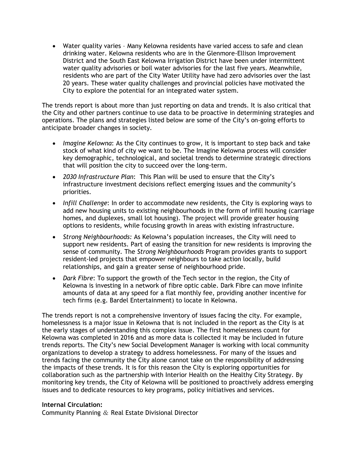Water quality varies – Many Kelowna residents have varied access to safe and clean drinking water. Kelowna residents who are in the Glenmore-Ellison Improvement District and the South East Kelowna Irrigation District have been under intermittent water quality advisories or boil water advisories for the last five years. Meanwhile, residents who are part of the City Water Utility have had zero advisories over the last 20 years. These water quality challenges and provincial policies have motivated the City to explore the potential for an integrated water system.

The trends report is about more than just reporting on data and trends. It is also critical that the City and other partners continue to use data to be proactive in determining strategies and operations. The plans and strategies listed below are some of the City's on-going efforts to anticipate broader changes in society.

- *Imagine Kelowna*: As the City continues to grow, it is important to step back and take stock of what kind of city we want to be. The Imagine Kelowna process will consider key demographic, technological, and societal trends to determine strategic directions that will position the city to succeed over the long-term.
- *2030 Infrastructure Plan*: This Plan will be used to ensure that the City's infrastructure investment decisions reflect emerging issues and the community's priorities.
- *Infill Challenge*: In order to accommodate new residents, the City is exploring ways to add new housing units to existing neighbourhoods in the form of infill housing (carriage homes, and duplexes, small lot housing). The project will provide greater housing options to residents, while focusing growth in areas with existing infrastructure.
- *Strong Neighbourhoods:* As Kelowna's population increases, the City will need to support new residents. Part of easing the transition for new residents is improving the sense of community. The *Strong Neighbourhoods* Program provides grants to support resident-led projects that empower neighbours to take action locally, build relationships, and gain a greater sense of neighbourhood pride.
- *Dark Fibre*: To support the growth of the Tech sector in the region, the City of Kelowna is investing in a network of fibre optic cable. Dark Fibre can move infinite amounts of data at any speed for a flat monthly fee, providing another incentive for tech firms (e.g. Bardel Entertainment) to locate in Kelowna.

The trends report is not a comprehensive inventory of issues facing the city. For example, homelessness is a major issue in Kelowna that is not included in the report as the City is at the early stages of understanding this complex issue. The first homelessness count for Kelowna was completed in 2016 and as more data is collected it may be included in future trends reports. The City's new Social Development Manager is working with local community organizations to develop a strategy to address homelessness. For many of the issues and trends facing the community the City alone cannot take on the responsibility of addressing the impacts of these trends. It is for this reason the City is exploring opportunities for collaboration such as the partnership with Interior Health on the Healthy City Strategy. By monitoring key trends, the City of Kelowna will be positioned to proactively address emerging issues and to dedicate resources to key programs, policy initiatives and services.

# **Internal Circulation:**

Community Planning & Real Estate Divisional Director